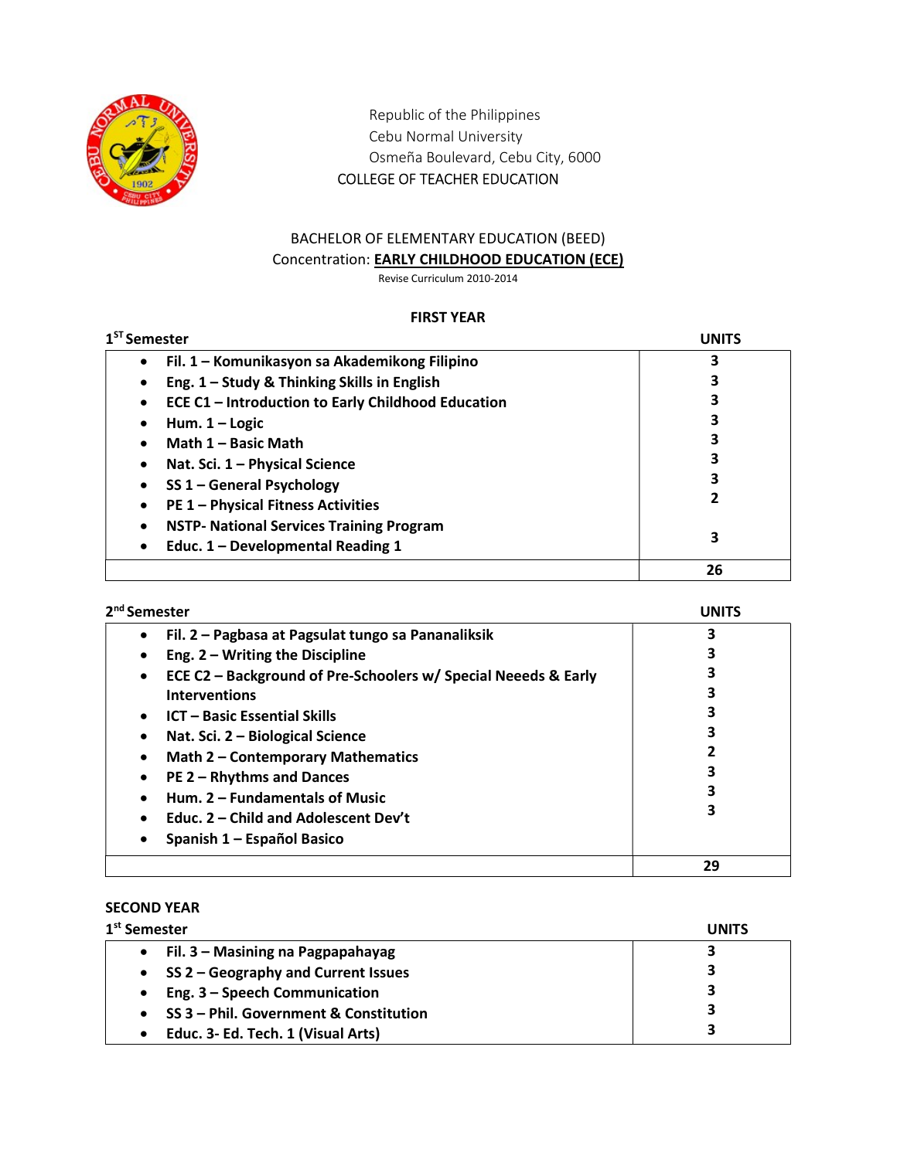

Republic of the Philippines Cebu Normal University Osmeña Boulevard, Cebu City, 6000 COLLEGE OF TEACHER EDUCATION

# BACHELOR OF ELEMENTARY EDUCATION (BEED) Concentration: EARLY CHILDHOOD EDUCATION (ECE)

Revise Curriculum 2010-2014

### FIRST YEAR

| $1ST$ Semester                                             | <b>UNITS</b> |
|------------------------------------------------------------|--------------|
| Fil. 1 - Komunikasyon sa Akademikong Filipino<br>$\bullet$ | 3            |
| Eng. 1 - Study & Thinking Skills in English                | 3            |
| ECE C1 - Introduction to Early Childhood Education         | 3            |
| Hum. $1 -$ Logic                                           | 3            |
| Math 1 - Basic Math                                        | 3            |
| Nat. Sci. 1 - Physical Science                             | 3            |
| SS 1 - General Psychology                                  | 3            |
| <b>PE 1 - Physical Fitness Activities</b>                  | 2            |
| <b>NSTP- National Services Training Program</b>            |              |
| Educ. 1 - Developmental Reading 1                          | 3            |
|                                                            | 26           |

| 2 <sup>nd</sup> Semester                                                    | UNITS |
|-----------------------------------------------------------------------------|-------|
| Fil. 2 - Pagbasa at Pagsulat tungo sa Pananaliksik<br>٠                     | 3     |
| Eng. $2 - W$ riting the Discipline<br>$\bullet$                             |       |
| ECE C2 - Background of Pre-Schoolers w/ Special Neeeds & Early<br>$\bullet$ |       |
| <b>Interventions</b>                                                        |       |
| <b>ICT - Basic Essential Skills</b><br>$\bullet$                            |       |
| Nat. Sci. 2 - Biological Science<br>$\bullet$                               |       |
| Math 2 - Contemporary Mathematics<br>$\bullet$                              |       |
| <b>PE 2 - Rhythms and Dances</b><br>$\bullet$                               |       |
| Hum. 2 – Fundamentals of Music<br>$\bullet$                                 |       |
| Educ. 2 – Child and Adolescent Dev't<br>$\bullet$                           | 3     |
| Spanish 1 - Español Basico<br>٠                                             |       |
|                                                                             | 29    |

## SECOND YEAR

| 1 <sup>st</sup> Semester                            | <b>UNITS</b> |
|-----------------------------------------------------|--------------|
| • Fil. $3$ – Masining na Pagpapahayag               | 3            |
| • SS 2 – Geography and Current Issues               | 3            |
| Eng. 3 - Speech Communication<br>$\bullet$          | 3            |
| SS 3 - Phil. Government & Constitution<br>$\bullet$ | 3            |
| Educ. 3- Ed. Tech. 1 (Visual Arts)<br>$\bullet$     | 3            |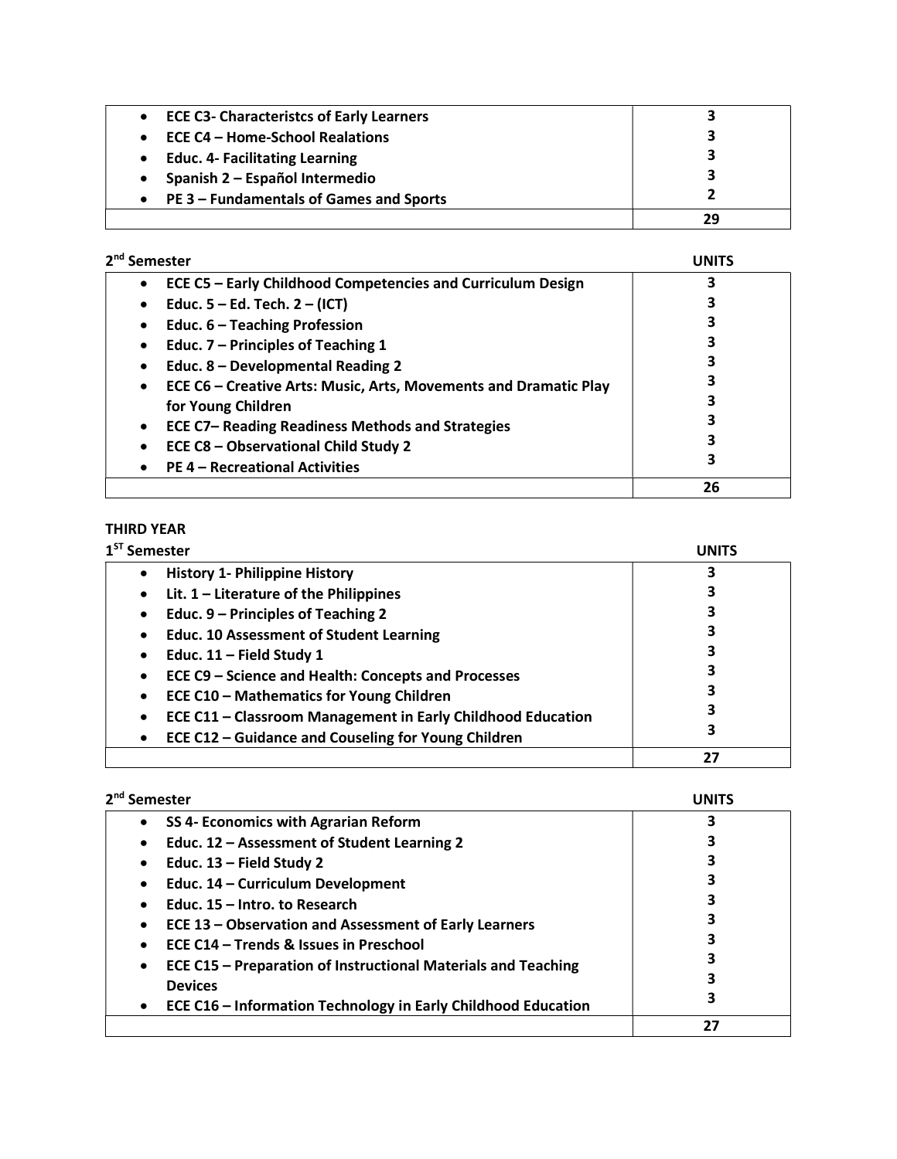| <b>ECE C3- Characteristcs of Early Learners</b> | 3  |
|-------------------------------------------------|----|
| ECE C4 – Home-School Realations                 | 3  |
| <b>Educ. 4- Facilitating Learning</b>           | 3  |
| Spanish 2 - Español Intermedio                  | 3  |
| PE 3 – Fundamentals of Games and Sports         |    |
|                                                 | 29 |

| 2 <sup>nd</sup> Semester                                                      |    |
|-------------------------------------------------------------------------------|----|
| ECE C5 - Early Childhood Competencies and Curriculum Design<br>$\bullet$      |    |
| Educ. $5 - Ed$ . Tech. $2 - (ICT)$<br>٠                                       |    |
| Educ. 6 - Teaching Profession<br>٠                                            |    |
| Educ. 7 - Principles of Teaching 1<br>٠                                       |    |
| Educ. 8 - Developmental Reading 2                                             |    |
| ECE C6 - Creative Arts: Music, Arts, Movements and Dramatic Play<br>$\bullet$ |    |
| for Young Children                                                            |    |
| <b>ECE C7- Reading Readiness Methods and Strategies</b><br>$\bullet$          |    |
| ECE C8 - Observational Child Study 2<br>$\bullet$                             |    |
| <b>PE 4 - Recreational Activities</b>                                         | 3  |
|                                                                               | 26 |

## THIRD YEAR

| <sup>ST</sup> Semester                                           | UNITS |
|------------------------------------------------------------------|-------|
| <b>History 1- Philippine History</b><br>٠                        |       |
| Lit. $1$ – Literature of the Philippines<br>٠                    |       |
| Educ. 9 – Principles of Teaching 2                               |       |
| <b>Educ. 10 Assessment of Student Learning</b>                   |       |
| Educ. $11$ – Field Study 1                                       |       |
| ECE C9 - Science and Health: Concepts and Processes              |       |
| <b>ECE C10 - Mathematics for Young Children</b>                  |       |
| ECE C11 - Classroom Management in Early Childhood Education<br>٠ |       |
| ECE C12 - Guidance and Couseling for Young Children<br>٠         | 3     |
|                                                                  | 27    |

| 2 <sup>nd</sup> Semester                                                   | UNITS |
|----------------------------------------------------------------------------|-------|
| SS 4- Economics with Agrarian Reform<br>$\bullet$                          | 3     |
| Educ. 12 - Assessment of Student Learning 2<br>$\bullet$                   | 3     |
| Educ. $13$ – Field Study 2<br>$\bullet$                                    | 3     |
| Educ. 14 - Curriculum Development<br>$\bullet$                             | 3     |
| Educ. 15 - Intro. to Research<br>$\bullet$                                 | 3     |
| ECE 13 – Observation and Assessment of Early Learners<br>$\bullet$         | 3     |
| ECE C14 – Trends & Issues in Preschool<br>$\bullet$                        | 3     |
| ECE C15 – Preparation of Instructional Materials and Teaching<br>$\bullet$ | 3     |
| <b>Devices</b>                                                             | 3     |
| ECE C16 - Information Technology in Early Childhood Education<br>$\bullet$ | 3     |
|                                                                            | 27    |